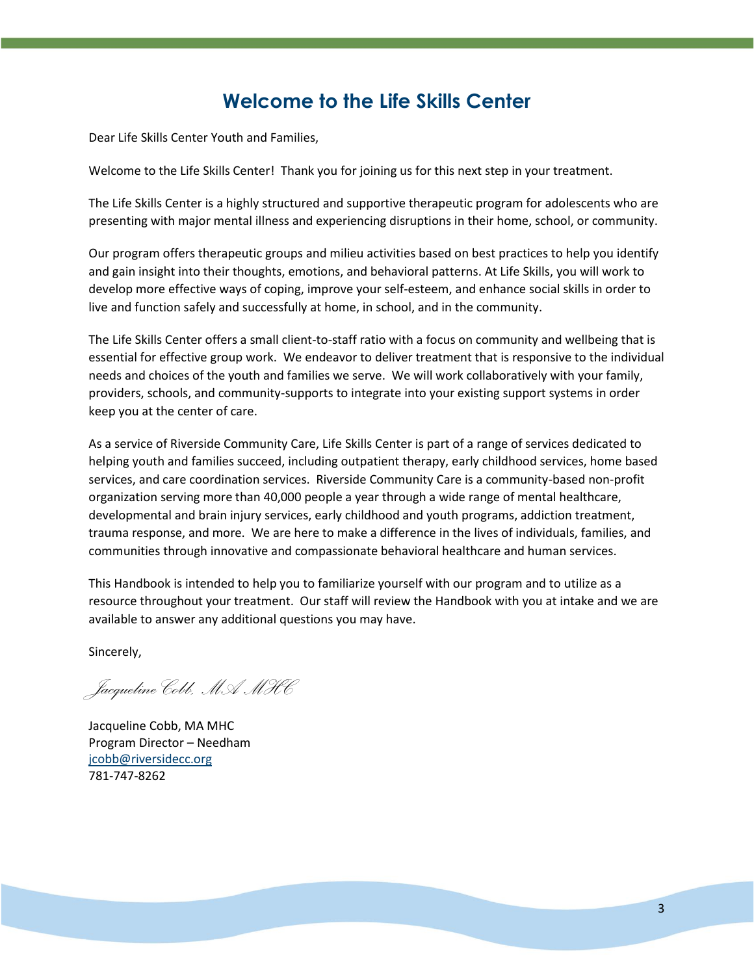## **Welcome to the Life Skills Center**

Dear Life Skills Center Youth and Families,

Welcome to the Life Skills Center! Thank you for joining us for this next step in your treatment.

The Life Skills Center is a highly structured and supportive therapeutic program for adolescents who are presenting with major mental illness and experiencing disruptions in their home, school, or community.

Our program offers therapeutic groups and milieu activities based on best practices to help you identify and gain insight into their thoughts, emotions, and behavioral patterns. At Life Skills, you will work to develop more effective ways of coping, improve your self-esteem, and enhance social skills in order to live and function safely and successfully at home, in school, and in the community.

The Life Skills Center offers a small client-to-staff ratio with a focus on community and wellbeing that is essential for effective group work. We endeavor to deliver treatment that is responsive to the individual needs and choices of the youth and families we serve. We will work collaboratively with your family, providers, schools, and community-supports to integrate into your existing support systems in order keep you at the center of care.

As a service of Riverside Community Care, Life Skills Center is part of a range of services dedicated to helping youth and families succeed, including outpatient therapy, early childhood services, home based services, and care coordination services. Riverside Community Care is a community-based non-profit organization serving more than 40,000 people a year through a wide range of mental healthcare, developmental and brain injury services, early childhood and youth programs, addiction treatment, trauma response, and more. We are here to make a difference in the lives of individuals, families, and communities through innovative and compassionate behavioral healthcare and human services.

This Handbook is intended to help you to familiarize yourself with our program and to utilize as a resource throughout your treatment. Our staff will review the Handbook with you at intake and we are available to answer any additional questions you may have.

Sincerely,

*Jacqueline Cobb, MA MHC*

Jacqueline Cobb, MA MHC Program Director – Needham [jcobb@riversidecc.org](mailto:jcobb@riversidecc.org) 781-747-8262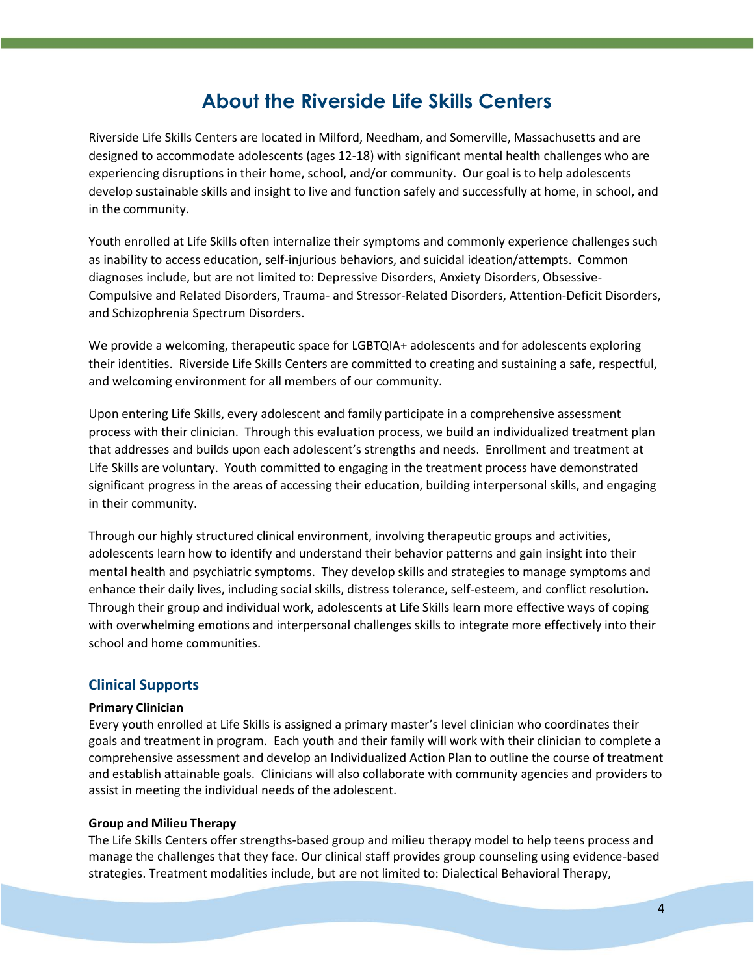## **About the Riverside Life Skills Centers**

Riverside Life Skills Centers are located in Milford, Needham, and Somerville, Massachusetts and are designed to accommodate adolescents (ages 12-18) with significant mental health challenges who are experiencing disruptions in their home, school, and/or community. Our goal is to help adolescents develop sustainable skills and insight to live and function safely and successfully at home, in school, and in the community.

Youth enrolled at Life Skills often internalize their symptoms and commonly experience challenges such as inability to access education, self-injurious behaviors, and suicidal ideation/attempts. Common diagnoses include, but are not limited to: Depressive Disorders, Anxiety Disorders, Obsessive-Compulsive and Related Disorders, Trauma- and Stressor-Related Disorders, Attention-Deficit Disorders, and Schizophrenia Spectrum Disorders.

We provide a welcoming, therapeutic space for LGBTQIA+ adolescents and for adolescents exploring their identities. Riverside Life Skills Centers are committed to creating and sustaining a safe, respectful, and welcoming environment for all members of our community.

Upon entering Life Skills, every adolescent and family participate in a comprehensive assessment process with their clinician. Through this evaluation process, we build an individualized treatment plan that addresses and builds upon each adolescent's strengths and needs. Enrollment and treatment at Life Skills are voluntary. Youth committed to engaging in the treatment process have demonstrated significant progress in the areas of accessing their education, building interpersonal skills, and engaging in their community.

Through our highly structured clinical environment, involving therapeutic groups and activities, adolescents learn how to identify and understand their behavior patterns and gain insight into their mental health and psychiatric symptoms. They develop skills and strategies to manage symptoms and enhance their daily lives, including social skills, distress tolerance, self-esteem, and conflict resolution**.**  Through their group and individual work, adolescents at Life Skills learn more effective ways of coping with overwhelming emotions and interpersonal challenges skills to integrate more effectively into their school and home communities.

## **Clinical Supports**

#### **Primary Clinician**

Every youth enrolled at Life Skills is assigned a primary master's level clinician who coordinates their goals and treatment in program. Each youth and their family will work with their clinician to complete a comprehensive assessment and develop an Individualized Action Plan to outline the course of treatment and establish attainable goals. Clinicians will also collaborate with community agencies and providers to assist in meeting the individual needs of the adolescent.

#### **Group and Milieu Therapy**

The Life Skills Centers offer strengths-based group and milieu therapy model to help teens process and manage the challenges that they face. Our clinical staff provides group counseling using evidence-based strategies. Treatment modalities include, but are not limited to: Dialectical Behavioral Therapy,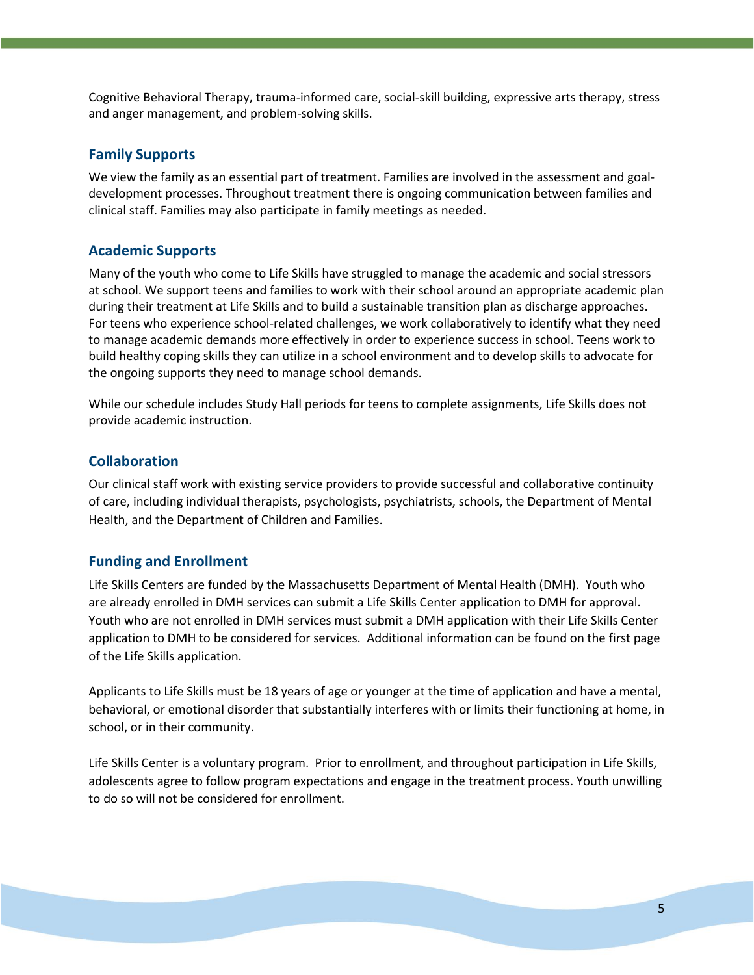Cognitive Behavioral Therapy, trauma-informed care, social-skill building, expressive arts therapy, stress and anger management, and problem-solving skills.

#### **Family Supports**

We view the family as an essential part of treatment. Families are involved in the assessment and goaldevelopment processes. Throughout treatment there is ongoing communication between families and clinical staff. Families may also participate in family meetings as needed.

#### **Academic Supports**

Many of the youth who come to Life Skills have struggled to manage the academic and social stressors at school. We support teens and families to work with their school around an appropriate academic plan during their treatment at Life Skills and to build a sustainable transition plan as discharge approaches. For teens who experience school-related challenges, we work collaboratively to identify what they need to manage academic demands more effectively in order to experience success in school. Teens work to build healthy coping skills they can utilize in a school environment and to develop skills to advocate for the ongoing supports they need to manage school demands.

While our schedule includes Study Hall periods for teens to complete assignments, Life Skills does not provide academic instruction.

#### **Collaboration**

Our clinical staff work with existing service providers to provide successful and collaborative continuity of care, including individual therapists, psychologists, psychiatrists, schools, the Department of Mental Health, and the Department of Children and Families.

#### **Funding and Enrollment**

Life Skills Centers are funded by the Massachusetts Department of Mental Health (DMH). Youth who are already enrolled in DMH services can submit a Life Skills Center application to DMH for approval. Youth who are not enrolled in DMH services must submit a DMH application with their Life Skills Center application to DMH to be considered for services. Additional information can be found on the first page of the Life Skills application.

Applicants to Life Skills must be 18 years of age or younger at the time of application and have a mental, behavioral, or emotional disorder that substantially interferes with or limits their functioning at home, in school, or in their community.

Life Skills Center is a voluntary program. Prior to enrollment, and throughout participation in Life Skills, adolescents agree to follow program expectations and engage in the treatment process. Youth unwilling to do so will not be considered for enrollment.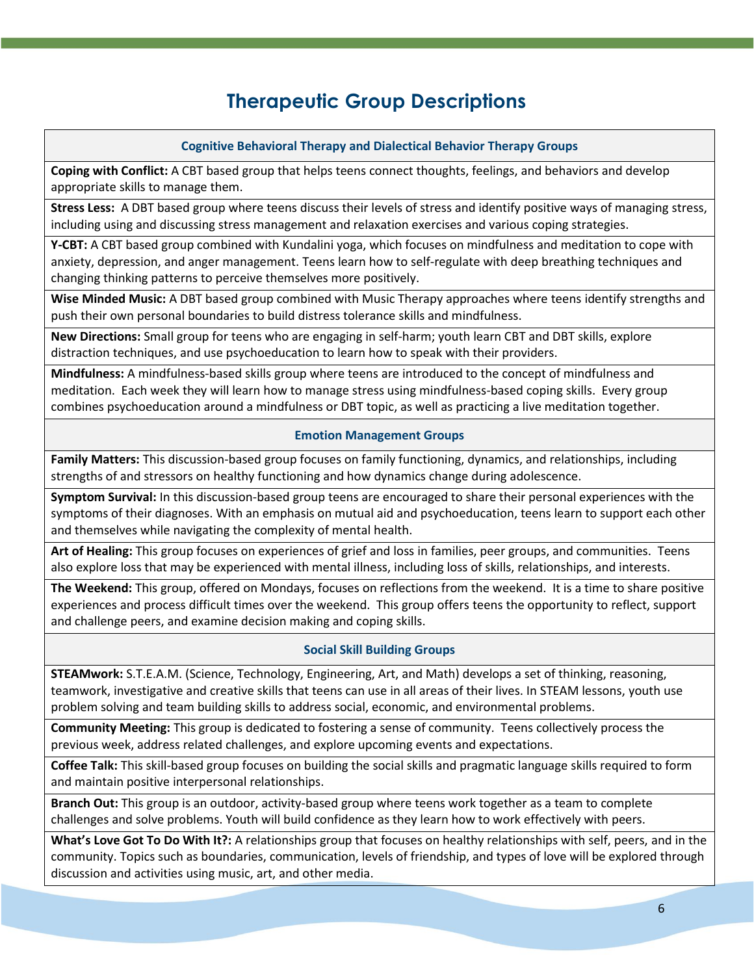# **Therapeutic Group Descriptions**

## **Cognitive Behavioral Therapy and Dialectical Behavior Therapy Groups**

**Coping with Conflict:** A CBT based group that helps teens connect thoughts, feelings, and behaviors and develop appropriate skills to manage them.

**Stress Less:** A DBT based group where teens discuss their levels of stress and identify positive ways of managing stress, including using and discussing stress management and relaxation exercises and various coping strategies.

**Y-CBT:** A CBT based group combined with Kundalini yoga, which focuses on mindfulness and meditation to cope with anxiety, depression, and anger management. Teens learn how to self-regulate with deep breathing techniques and changing thinking patterns to perceive themselves more positively.

**Wise Minded Music:** A DBT based group combined with Music Therapy approaches where teens identify strengths and push their own personal boundaries to build distress tolerance skills and mindfulness.

**New Directions:** Small group for teens who are engaging in self-harm; youth learn CBT and DBT skills, explore distraction techniques, and use psychoeducation to learn how to speak with their providers.

**Mindfulness:** A mindfulness-based skills group where teens are introduced to the concept of mindfulness and meditation. Each week they will learn how to manage stress using mindfulness-based coping skills. Every group combines psychoeducation around a mindfulness or DBT topic, as well as practicing a live meditation together.

## **Emotion Management Groups**

**Family Matters:** This discussion-based group focuses on family functioning, dynamics, and relationships, including strengths of and stressors on healthy functioning and how dynamics change during adolescence.

**Symptom Survival:** In this discussion-based group teens are encouraged to share their personal experiences with the symptoms of their diagnoses. With an emphasis on mutual aid and psychoeducation, teens learn to support each other and themselves while navigating the complexity of mental health.

**Art of Healing:** This group focuses on experiences of grief and loss in families, peer groups, and communities. Teens also explore loss that may be experienced with mental illness, including loss of skills, relationships, and interests.

**The Weekend:** This group, offered on Mondays, focuses on reflections from the weekend. It is a time to share positive experiences and process difficult times over the weekend. This group offers teens the opportunity to reflect, support and challenge peers, and examine decision making and coping skills.

## **Social Skill Building Groups**

**STEAMwork:** S.T.E.A.M. (Science, Technology, Engineering, Art, and Math) develops a set of thinking, reasoning, teamwork, investigative and creative skills that teens can use in all areas of their lives. In STEAM lessons, youth use problem solving and team building skills to address social, economic, and environmental problems.

**Community Meeting:** This group is dedicated to fostering a sense of community. Teens collectively process the previous week, address related challenges, and explore upcoming events and expectations.

**Coffee Talk:** This skill-based group focuses on building the social skills and pragmatic language skills required to form and maintain positive interpersonal relationships.

**Branch Out:** This group is an outdoor, activity-based group where teens work together as a team to complete challenges and solve problems. Youth will build confidence as they learn how to work effectively with peers.

**What's Love Got To Do With It?:** A relationships group that focuses on healthy relationships with self, peers, and in the community. Topics such as boundaries, communication, levels of friendship, and types of love will be explored through discussion and activities using music, art, and other media.